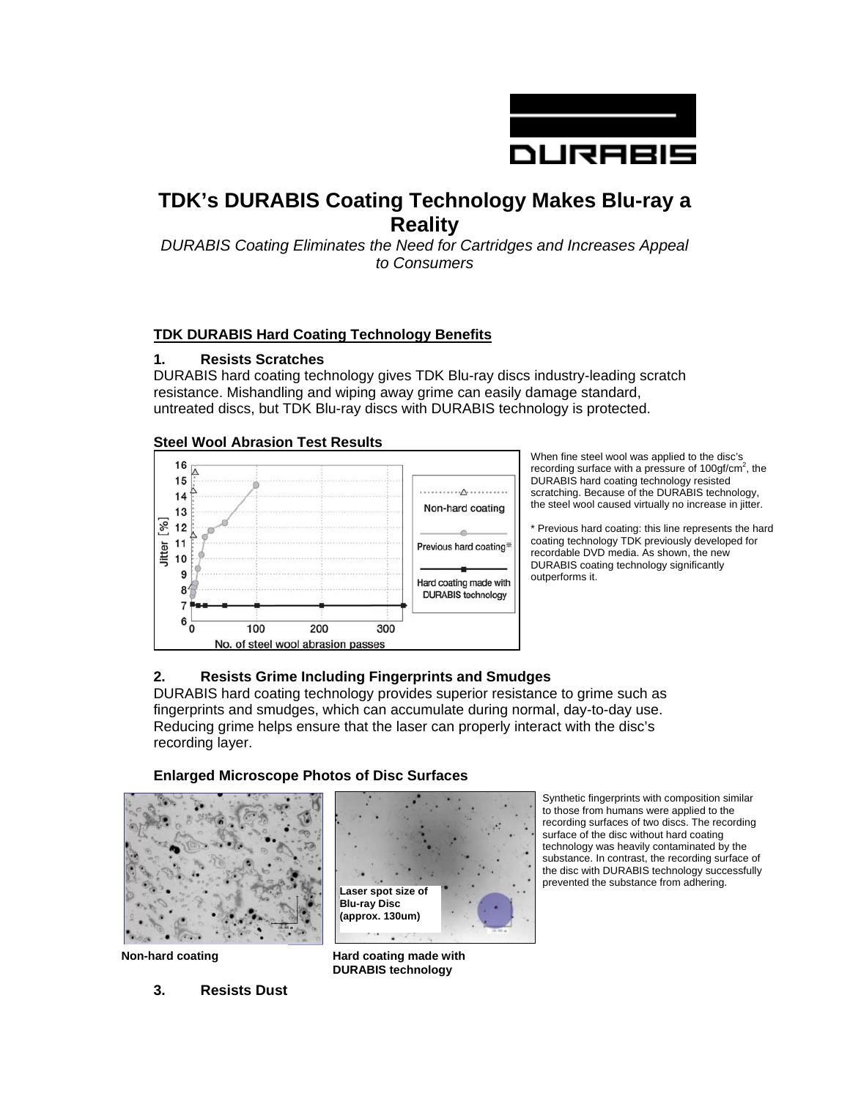

# **TDK's DURABIS Coating Technology Makes Blu-ray a Reality**

*DURABIS Coating Eliminates the Need for Cartridges and Increases Appeal to Consumers* 

## **TDK DURABIS Hard Coating Technology Benefits**

#### **1. Resists Scratches**

DURABIS hard coating technology gives TDK Blu-ray discs industry-leading scratch resistance. Mishandling and wiping away grime can easily damage standard, untreated discs, but TDK Blu-ray discs with DURABIS technology is protected.

#### **Steel Wool Abrasion Test Results**



When fine steel wool was applied to the disc's recording surface with a pressure of  $100gf/cm^2$ , the DURABIS hard coating technology resisted scratching. Because of the DURABIS technology, the steel wool caused virtually no increase in jitter.

\* Previous hard coating: this line represents the hard coating technology TDK previously developed for recordable DVD media. As shown, the new DURABIS coating technology significantly outperforms it.

## **2. Resists Grime Including Fingerprints and Smudges**

DURABIS hard coating technology provides superior resistance to grime such as fingerprints and smudges, which can accumulate during normal, day-to-day use. Reducing grime helps ensure that the laser can properly interact with the disc's recording layer.

> **Laser spot size of Blu-ray Disc (approx. 130um)**

**Enlarged Microscope Photos of Disc Surfaces** 



**Non-hard coating <b>Hard coating made with Hard coating made with** 

**3. Resists Dust DURABIS technology**

Synthetic fingerprints with composition similar to those from humans were applied to the recording surfaces of two discs. The recording surface of the disc without hard coating technology was heavily contaminated by the substance. In contrast, the recording surface of the disc with DURABIS technology successfully prevented the substance from adhering.